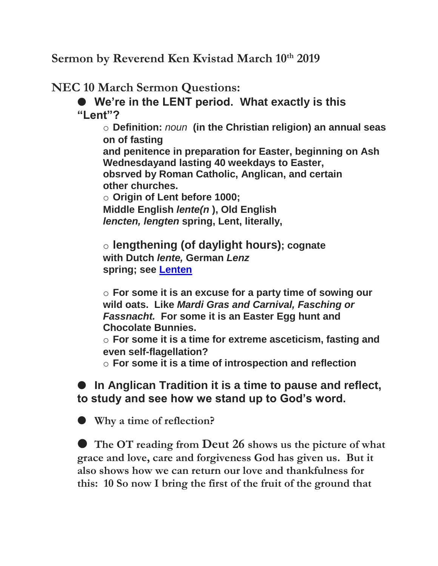**Sermon by Reverend Ken Kvistad March 10th 2019**

**NEC 10 March Sermon Questions:**

● We're in the LENT period. What exactly is this **"Lent"?**

o **Definition:** *noun* **(in the Christian religion) an annual seas on of fasting and penitence in preparation for Easter, beginning on Ash Wednesdayand lasting 40 weekdays to Easter, obsrved by Roman Catholic, Anglican, and certain other churches.** o **Origin of Lent before 1000; Middle English** *lente(n* **), Old English** *lencten, lengten* **spring, Lent, literally,**

o **lengthening (of daylight hours); cognate with Dutch** *lente,* **German** *Lenz* **spring; see [Lenten](https://www.dictionary.com/browse/lenten)**

o **For some it is an excuse for a party time of sowing our wild oats. Like** *Mardi Gras and Carnival, Fasching or Fassnacht.* **For some it is an Easter Egg hunt and Chocolate Bunnies.**

o **For some it is a time for extreme asceticism, fasting and even self-flagellation?**

o **For some it is a time of introspection and reflection**

● In Anglican Tradition it is a time to pause and reflect, **to study and see how we stand up to God's word.**

● **Why a time of reflection?**

● **The OT reading from Deut 26 shows us the picture of what grace and love, care and forgiveness God has given us. But it also shows how we can return our love and thankfulness for this: 10 So now I bring the first of the fruit of the ground that**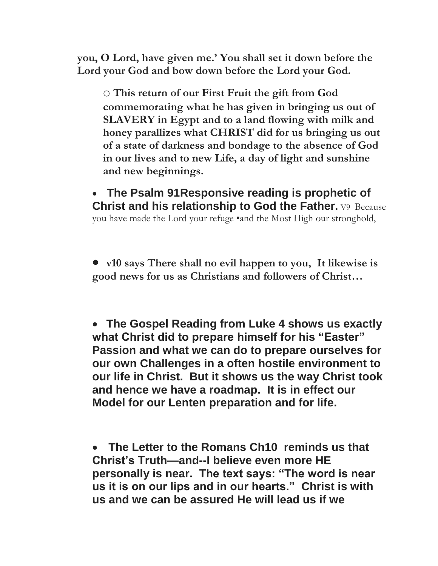**you, O Lord, have given me.' You shall set it down before the Lord your God and bow down before the Lord your God.**

o **This return of our First Fruit the gift from God commemorating what he has given in bringing us out of SLAVERY in Egypt and to a land flowing with milk and honey parallizes what CHRIST did for us bringing us out of a state of darkness and bondage to the absence of God in our lives and to new Life, a day of light and sunshine and new beginnings.**

• **The Psalm 91Responsive reading is prophetic of Christ and his relationship to God the Father.** V9 Because you have made the Lord your refuge •and the Most High our stronghold,

• **v10 says There shall no evil happen to you, It likewise is good news for us as Christians and followers of Christ…**

• **The Gospel Reading from Luke 4 shows us exactly what Christ did to prepare himself for his "Easter" Passion and what we can do to prepare ourselves for our own Challenges in a often hostile environment to our life in Christ. But it shows us the way Christ took and hence we have a roadmap. It is in effect our Model for our Lenten preparation and for life.**

• **The Letter to the Romans Ch10 reminds us that Christ's Truth—and--I believe even more HE personally is near. The text says: "The word is near us it is on our lips and in our hearts." Christ is with us and we can be assured He will lead us if we**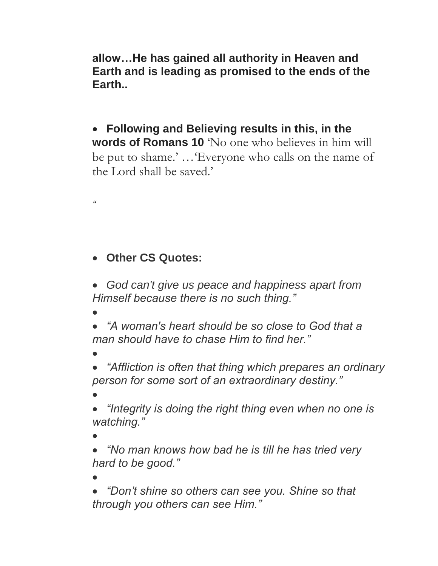**allow…He has gained all authority in Heaven and Earth and is leading as promised to the ends of the Earth..**

• **Following and Believing results in this, in the words of Romans 10** 'No one who believes in him will be put to shame.' …'Everyone who calls on the name of the Lord shall be saved.'

*"*

## • **Other CS Quotes:**

- *God can't give us peace and happiness apart from Himself because there is no such thing."*
- •

• *"A woman's heart should be so close to God that a man should have to chase Him to find her."*

•

• *"Affliction is often that thing which prepares an ordinary person for some sort of an extraordinary destiny."*

•

• *"Integrity is doing the right thing even when no one is watching."*

•

• *"No man knows how bad he is till he has tried very hard to be good."*

•

• *"Don't shine so others can see you. Shine so that through you others can see Him."*